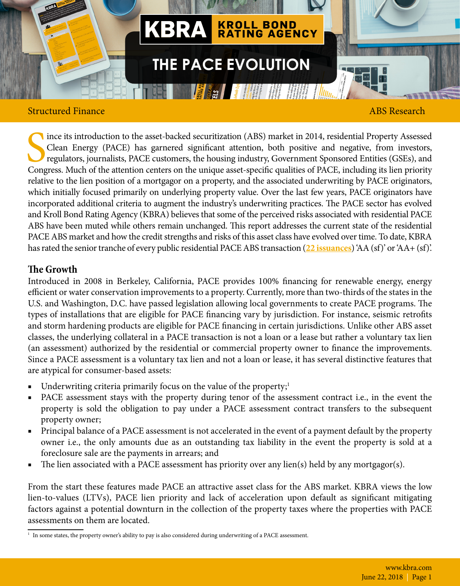

## Structured Finance **ABS Research ABS Research**

Since its introduction to the asset-backed securitization (ABS) market in 2014, residential Property Assessed Clean Energy (PACE) has garnered significant attention, both positive and negative, from investors, regulators, ince its introduction to the asset-backed securitization (ABS) market in 2014, residential Property Assessed Clean Energy (PACE) has garnered significant attention, both positive and negative, from investors, regulators, journalists, PACE customers, the housing industry, Government Sponsored Entities (GSEs), and relative to the lien position of a mortgagor on a property, and the associated underwriting by PACE originators, which initially focused primarily on underlying property value. Over the last few years, PACE originators have incorporated additional criteria to augment the industry's underwriting practices. The PACE sector has evolved and Kroll Bond Rating Agency (KBRA) believes that some of the perceived risks associated with residential PACE ABS have been muted while others remain unchanged. This report addresses the current state of the residential PACE ABS market and how the credit strengths and risks of this asset class have evolved over time. To date, KBRA has rated the senior tranche of every public residential PACE ABS transaction (**[22 issuances](https://www.krollbondratings.com/ratings/abs)**) 'AA (sf)' or 'AA+ (sf)'.

## **The Growth**

Introduced in 2008 in Berkeley, California, PACE provides 100% financing for renewable energy, energy efficient or water conservation improvements to a property. Currently, more than two-thirds of the states in the U.S. and Washington, D.C. have passed legislation allowing local governments to create PACE programs. The types of installations that are eligible for PACE financing vary by jurisdiction. For instance, seismic retrofits and storm hardening products are eligible for PACE financing in certain jurisdictions. Unlike other ABS asset classes, the underlying collateral in a PACE transaction is not a loan or a lease but rather a voluntary tax lien (an assessment) authorized by the residential or commercial property owner to finance the improvements. Since a PACE assessment is a voluntary tax lien and not a loan or lease, it has several distinctive features that are atypical for consumer-based assets:

- Underwriting criteria primarily focus on the value of the property; $\frac{1}{2}$
- PACE assessment stays with the property during tenor of the assessment contract i.e., in the event the property is sold the obligation to pay under a PACE assessment contract transfers to the subsequent property owner;
- Principal balance of a PACE assessment is not accelerated in the event of a payment default by the property owner i.e., the only amounts due as an outstanding tax liability in the event the property is sold at a foreclosure sale are the payments in arrears; and
- The lien associated with a PACE assessment has priority over any lien(s) held by any mortgagor(s).

From the start these features made PACE an attractive asset class for the ABS market. KBRA views the low lien-to-values (LTVs), PACE lien priority and lack of acceleration upon default as significant mitigating factors against a potential downturn in the collection of the property taxes where the properties with PACE assessments on them are located.

<sup>1</sup> In some states, the property owner's ability to pay is also considered during underwriting of a PACE assessment.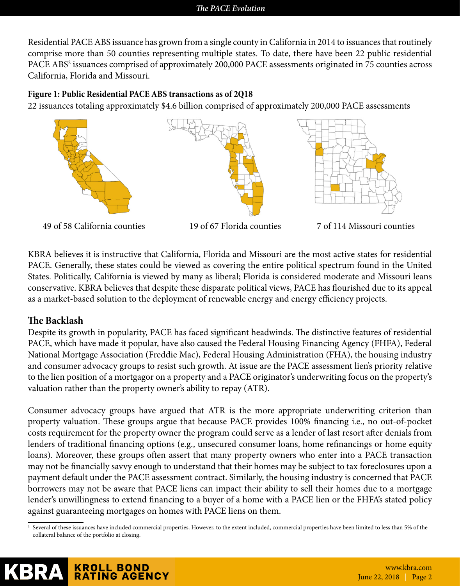Residential PACE ABS issuance has grown from a single county in California in 2014 to issuances that routinely comprise more than 50 counties representing multiple states. To date, there have been 22 public residential PACE ABS<sup>2</sup> issuances comprised of approximately 200,000 PACE assessments originated in 75 counties across California, Florida and Missouri.

## **Figure 1: Public Residential PACE ABS transactions as of 2Q18**

22 issuances totaling approximately \$4.6 billion comprised of approximately 200,000 PACE assessments



KBRA believes it is instructive that California, Florida and Missouri are the most active states for residential PACE. Generally, these states could be viewed as covering the entire political spectrum found in the United States. Politically, California is viewed by many as liberal; Florida is considered moderate and Missouri leans conservative. KBRA believes that despite these disparate political views, PACE has flourished due to its appeal as a market-based solution to the deployment of renewable energy and energy efficiency projects.

## **The Backlash**

Despite its growth in popularity, PACE has faced significant headwinds. The distinctive features of residential PACE, which have made it popular, have also caused the Federal Housing Financing Agency (FHFA), Federal National Mortgage Association (Freddie Mac), Federal Housing Administration (FHA), the housing industry and consumer advocacy groups to resist such growth. At issue are the PACE assessment lien's priority relative to the lien position of a mortgagor on a property and a PACE originator's underwriting focus on the property's valuation rather than the property owner's ability to repay (ATR).

Consumer advocacy groups have argued that ATR is the more appropriate underwriting criterion than property valuation. These groups argue that because PACE provides 100% financing i.e., no out-of-pocket costs requirement for the property owner the program could serve as a lender of last resort after denials from lenders of traditional financing options (e.g., unsecured consumer loans, home refinancings or home equity loans). Moreover, these groups often assert that many property owners who enter into a PACE transaction may not be financially savvy enough to understand that their homes may be subject to tax foreclosures upon a payment default under the PACE assessment contract. Similarly, the housing industry is concerned that PACE borrowers may not be aware that PACE liens can impact their ability to sell their homes due to a mortgage lender's unwillingness to extend financing to a buyer of a home with a PACE lien or the FHFA's stated policy against guaranteeing mortgages on homes with PACE liens on them.

 $^2$  Several of these issuances have included commercial properties. However, to the extent included, commercial properties have been limited to less than 5% of the  $\,$ collateral balance of the portfolio at closing.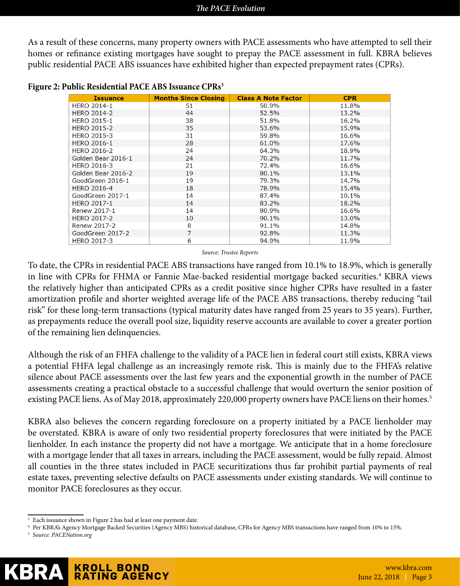As a result of these concerns, many property owners with PACE assessments who have attempted to sell their homes or refinance existing mortgages have sought to prepay the PACE assessment in full. KBRA believes public residential PACE ABS issuances have exhibited higher than expected prepayment rates (CPRs).

| <b>Issuance</b>    | <b>Months Since Closing</b> | <b>Class A Note Factor</b> | <b>CPR</b> |
|--------------------|-----------------------------|----------------------------|------------|
| <b>HERO 2014-1</b> | 51                          | 50.9%                      | 11.8%      |
| <b>HERO 2014-2</b> | 44                          | 52.5%                      | 13.2%      |
| <b>HERO 2015-1</b> | 38                          | 51.8%                      | 16.2%      |
| <b>HERO 2015-2</b> | 35                          | 53.6%                      | 15.9%      |
| <b>HERO 2015-3</b> | 31                          | 59.8%                      | 16.6%      |
| <b>HERO 2016-1</b> | 28                          | 61.0%                      | 17.6%      |
| <b>HERO 2016-2</b> | 24                          | 64.3%                      | 18.9%      |
| Golden Bear 2016-1 | 24                          | 70.2%                      | 11.7%      |
| <b>HERO 2016-3</b> | 21                          | 72.4%                      | 16.6%      |
| Golden Bear 2016-2 | 19                          | 80.1%                      | 13.1%      |
| GoodGreen 2016-1   | 19                          | 79.3%                      | 14.7%      |
| <b>HERO 2016-4</b> | 18                          | 78.9%                      | 15.4%      |
| GoodGreen 2017-1   | 14                          | 87.4%                      | 10.1%      |
| <b>HERO 2017-1</b> | 14                          | 83.2%                      | 18.2%      |
| Renew 2017-1       | 14                          | 80.9%                      | 16.6%      |
| <b>HERO 2017-2</b> | 10                          | 90.1%                      | 13.0%      |
| Renew 2017-2       | 8                           | 91.1%                      | 14.8%      |
| GoodGreen 2017-2   | 7                           | 92.8%                      | 11.3%      |
| <b>HERO 2017-3</b> | 6                           | 94.9%                      | 11.9%      |

**Figure 2: Public Residential PACE ABS Issuance CPRs3**

*Source: Trustee Reports*

To date, the CPRs in residential PACE ABS transactions have ranged from 10.1% to 18.9%, which is generally in line with CPRs for FHMA or Fannie Mae-backed residential mortgage backed securities.<sup>4</sup> KBRA views the relatively higher than anticipated CPRs as a credit positive since higher CPRs have resulted in a faster amortization profile and shorter weighted average life of the PACE ABS transactions, thereby reducing "tail risk" for these long-term transactions (typical maturity dates have ranged from 25 years to 35 years). Further, as prepayments reduce the overall pool size, liquidity reserve accounts are available to cover a greater portion of the remaining lien delinquencies.

Although the risk of an FHFA challenge to the validity of a PACE lien in federal court still exists, KBRA views a potential FHFA legal challenge as an increasingly remote risk. This is mainly due to the FHFA's relative silence about PACE assessments over the last few years and the exponential growth in the number of PACE assessments creating a practical obstacle to a successful challenge that would overturn the senior position of existing PACE liens. As of May 2018, approximately 220,000 property owners have PACE liens on their homes.<sup>5</sup>

KBRA also believes the concern regarding foreclosure on a property initiated by a PACE lienholder may be overstated. KBRA is aware of only two residential property foreclosures that were initiated by the PACE lienholder. In each instance the property did not have a mortgage. We anticipate that in a home foreclosure with a mortgage lender that all taxes in arrears, including the PACE assessment, would be fully repaid. Almost all counties in the three states included in PACE securitizations thus far prohibit partial payments of real estate taxes, preventing selective defaults on PACE assessments under existing standards. We will continue to monitor PACE foreclosures as they occur.

<sup>&</sup>lt;sup>3</sup> Each issuance shown in Figure 2 has had at least one payment date.

<sup>4</sup> Per KBRA's Agency Mortgage Backed Securities (Agency MBS) historical database, CPRs for Agency MBS transactions have ranged from 10% to 15%.

<sup>5</sup> *Source: PACENation.org*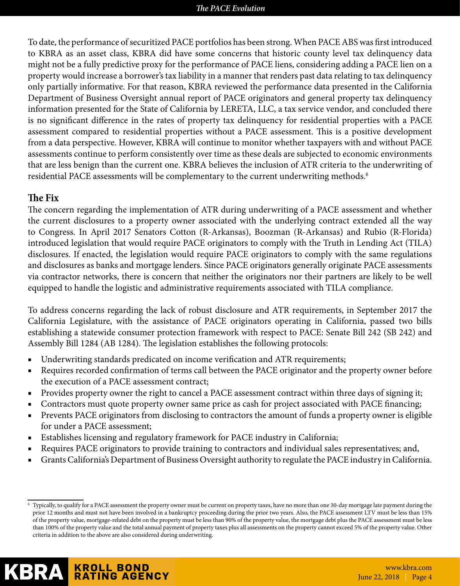#### *The PACE Evolution*

To date, the performance of securitized PACE portfolios has been strong. When PACE ABS was first introduced to KBRA as an asset class, KBRA did have some concerns that historic county level tax delinquency data might not be a fully predictive proxy for the performance of PACE liens, considering adding a PACE lien on a property would increase a borrower's tax liability in a manner that renders past data relating to tax delinquency only partially informative. For that reason, KBRA reviewed the performance data presented in the California Department of Business Oversight annual report of PACE originators and general property tax delinquency information presented for the State of California by LERETA, LLC, a tax service vendor, and concluded there is no significant difference in the rates of property tax delinquency for residential properties with a PACE assessment compared to residential properties without a PACE assessment. This is a positive development from a data perspective. However, KBRA will continue to monitor whether taxpayers with and without PACE assessments continue to perform consistently over time as these deals are subjected to economic environments that are less benign than the current one. KBRA believes the inclusion of ATR criteria to the underwriting of residential PACE assessments will be complementary to the current underwriting methods.<sup>6</sup>

## **The Fix**

The concern regarding the implementation of ATR during underwriting of a PACE assessment and whether the current disclosures to a property owner associated with the underlying contract extended all the way to Congress. In April 2017 Senators Cotton (R-Arkansas), Boozman (R-Arkansas) and Rubio (R-Florida) introduced legislation that would require PACE originators to comply with the Truth in Lending Act (TILA) disclosures. If enacted, the legislation would require PACE originators to comply with the same regulations and disclosures as banks and mortgage lenders. Since PACE originators generally originate PACE assessments via contractor networks, there is concern that neither the originators nor their partners are likely to be well equipped to handle the logistic and administrative requirements associated with TILA compliance.

To address concerns regarding the lack of robust disclosure and ATR requirements, in September 2017 the California Legislature, with the assistance of PACE originators operating in California, passed two bills establishing a statewide consumer protection framework with respect to PACE: Senate Bill 242 (SB 242) and Assembly Bill 1284 (AB 1284). The legislation establishes the following protocols:

- Underwriting standards predicated on income verification and ATR requirements;
- Requires recorded confirmation of terms call between the PACE originator and the property owner before the execution of a PACE assessment contract;
- Provides property owner the right to cancel a PACE assessment contract within three days of signing it;
- Contractors must quote property owner same price as cash for project associated with PACE financing;
- Prevents PACE originators from disclosing to contractors the amount of funds a property owner is eligible for under a PACE assessment;
- Establishes licensing and regulatory framework for PACE industry in California;
- Requires PACE originators to provide training to contractors and individual sales representatives; and,
- Grants California's Department of Business Oversight authority to regulate the PACE industry in California.

<sup>6</sup> Typically, to qualify for a PACE assessment the property owner must be current on property taxes, have no more than one 30-day mortgage late payment during the prior 12 months and must not have been involved in a bankruptcy proceeding during the prior two years. Also, the PACE assessment LTV must be less than 15% of the property value, mortgage-related debt on the property must be less than 90% of the property value, the mortgage debt plus the PACE assessment must be less than 100% of the property value and the total annual payment of property taxes plus all assessments on the property cannot exceed 5% of the property value. Other criteria in addition to the above are also considered during underwriting.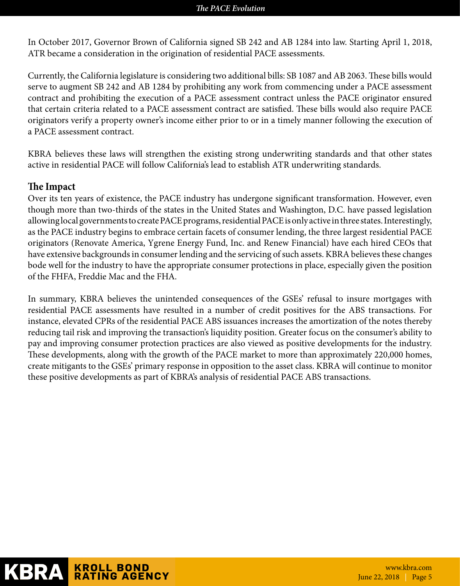In October 2017, Governor Brown of California signed SB 242 and AB 1284 into law. Starting April 1, 2018, ATR became a consideration in the origination of residential PACE assessments.

Currently, the California legislature is considering two additional bills: SB 1087 and AB 2063. These bills would serve to augment SB 242 and AB 1284 by prohibiting any work from commencing under a PACE assessment contract and prohibiting the execution of a PACE assessment contract unless the PACE originator ensured that certain criteria related to a PACE assessment contract are satisfied. These bills would also require PACE originators verify a property owner's income either prior to or in a timely manner following the execution of a PACE assessment contract.

KBRA believes these laws will strengthen the existing strong underwriting standards and that other states active in residential PACE will follow California's lead to establish ATR underwriting standards.

## **The Impact**

Over its ten years of existence, the PACE industry has undergone significant transformation. However, even though more than two-thirds of the states in the United States and Washington, D.C. have passed legislation allowing local governments to create PACE programs, residential PACE is only active in three states. Interestingly, as the PACE industry begins to embrace certain facets of consumer lending, the three largest residential PACE originators (Renovate America, Ygrene Energy Fund, Inc. and Renew Financial) have each hired CEOs that have extensive backgrounds in consumer lending and the servicing of such assets. KBRA believes these changes bode well for the industry to have the appropriate consumer protections in place, especially given the position of the FHFA, Freddie Mac and the FHA.

In summary, KBRA believes the unintended consequences of the GSEs' refusal to insure mortgages with residential PACE assessments have resulted in a number of credit positives for the ABS transactions. For instance, elevated CPRs of the residential PACE ABS issuances increases the amortization of the notes thereby reducing tail risk and improving the transaction's liquidity position. Greater focus on the consumer's ability to pay and improving consumer protection practices are also viewed as positive developments for the industry. These developments, along with the growth of the PACE market to more than approximately 220,000 homes, create mitigants to the GSEs' primary response in opposition to the asset class. KBRA will continue to monitor these positive developments as part of KBRA's analysis of residential PACE ABS transactions.